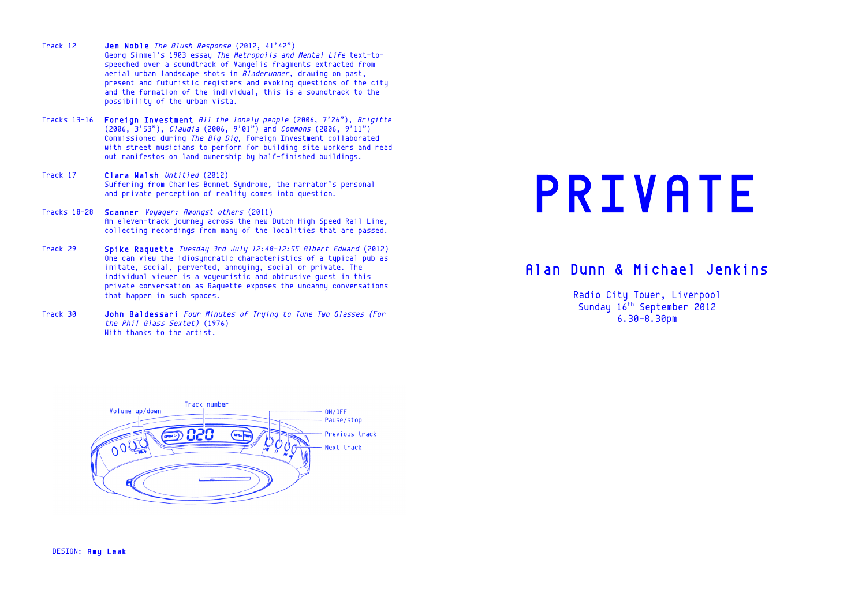- Track 12 Jem Noble The Blush Response (2012, 41'42") Georg Simmel's 1903 essay The Metropolis and Mental Life text-tospeeched over a soundtrack of Vangelis fragments extracted from aerial urban landscape shots in Bladerunner, drawing on past, present and futuristic registers and evoking questions of the city and the formation of the individual, this is a soundtrack to the possibility of the urban vista.
- Tracks 13-16 Foreign Investment All the lonely people (2006, 7'26"), Brigitte (2006, 3'53"), Claudia (2006, 9'01") and Commons (2006, 9'11") Commissioned during The Big Dig, Foreign Investment collaborated with street musicians to perform for building site workers and read out manifestos on land ownership by half-finished buildings.
- Track 17 Clara Walsh Untitled (2012) Suffering from Charles Bonnet Syndrome, the narrator's personal and private perception of reality comes into question.
- Tracks 18-28 Scanner Voyager: Amongst others (2011) An eleven-track journey across the new Dutch High Speed Rail Line, collecting recordings from many of the localities that are passed.
- Track 29 Spike Raquette Tuesday 3rd July 12:40-12:55 Albert Edward (2012) One can view the idiosyncratic characteristics of a typical pub as imitate, social, perverted, annoying, social or private. The individual viewer is a voyeuristic and obtrusive quest in this private conversation as Raquette exposes the uncanny conversations that happen in such spaces.
- Track 30 John Baldessari Four Minutes of Trying to Tune Two Glasses (For the Phil Glass Sextet) (1976) With thanks to the artist.

DESIGN: Amy Leak

# PRIVATE

# Alan Dunn & Michael Jenkins

Radio City Tower, Liverpool Sunday 16<sup>th</sup> September 2012 6.30-8.30pm